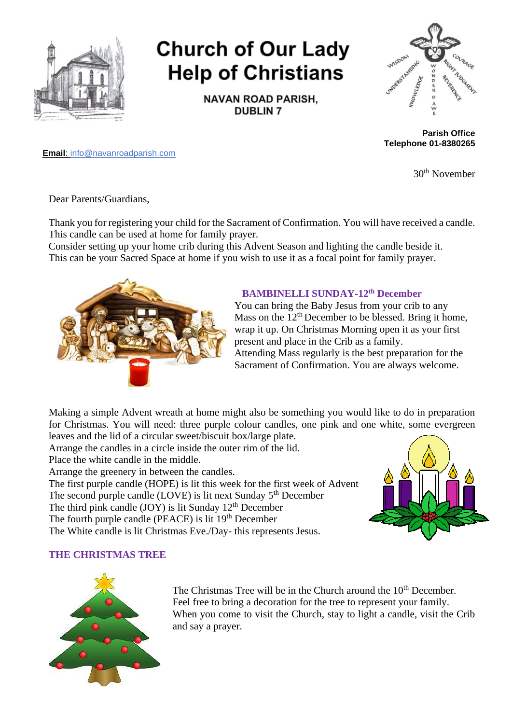

# **Church of Our Lady Help of Christians**

**NAVAN ROAD PARISH, DUBLIN 7** 



**Parish Office Telephone 01-8380265**

**Email**: info@navanroadparish.com

30th November

Dear Parents/Guardians,

Thank you for registering your child for the Sacrament of Confirmation. You will have received a candle. This candle can be used at home for family prayer.

Consider setting up your home crib during this Advent Season and lighting the candle beside it. This can be your Sacred Space at home if you wish to use it as a focal point for family prayer.



#### **BAMBINELLI SUNDAY-12th December**

You can bring the Baby Jesus from your crib to any Mass on the  $12<sup>th</sup>$  December to be blessed. Bring it home, wrap it up. On Christmas Morning open it as your first present and place in the Crib as a family. Attending Mass regularly is the best preparation for the Sacrament of Confirmation. You are always welcome.

Making a simple Advent wreath at home might also be something you would like to do in preparation for Christmas. You will need: three purple colour candles, one pink and one white, some evergreen leaves and the lid of a circular sweet/biscuit box/large plate.

Arrange the candles in a circle inside the outer rim of the lid.

Place the white candle in the middle.

Arrange the greenery in between the candles.

The first purple candle (HOPE) is lit this week for the first week of Advent

The second purple candle  $(LOVE)$  is lit next Sunday  $5<sup>th</sup>$  December

The third pink candle  $(JOY)$  is lit Sunday 12<sup>th</sup> December

The fourth purple candle (PEACE) is lit  $19<sup>th</sup>$  December

The White candle is lit Christmas Eve./Day- this represents Jesus.



### **THE CHRISTMAS TREE**



The Christmas Tree will be in the Church around the 10<sup>th</sup> December. Feel free to bring a decoration for the tree to represent your family. When you come to visit the Church, stay to light a candle, visit the Crib and say a prayer.